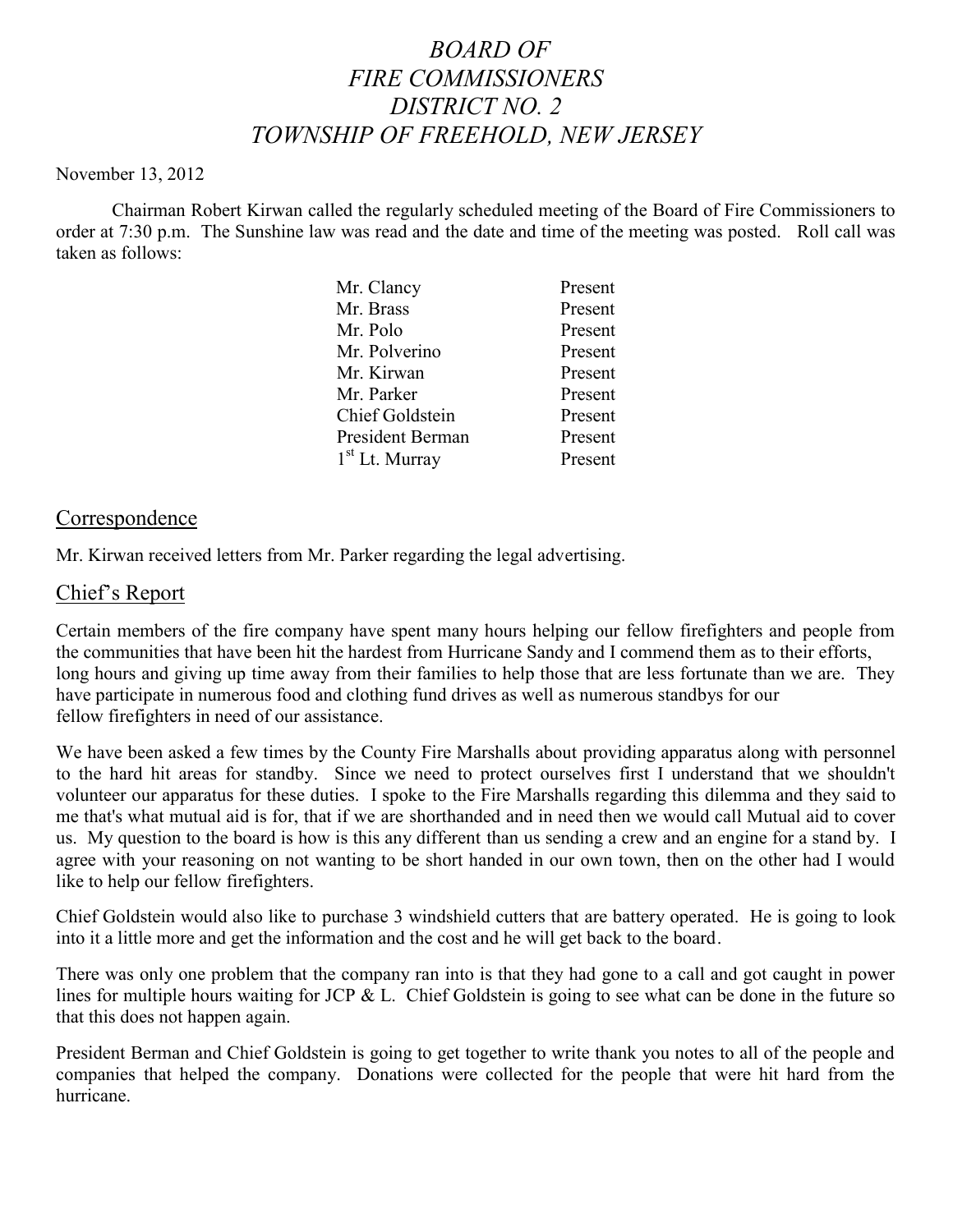# *BOARD OF FIRE COMMISSIONERS DISTRICT NO. 2 TOWNSHIP OF FREEHOLD, NEW JERSEY*

#### November 13, 2012

Chairman Robert Kirwan called the regularly scheduled meeting of the Board of Fire Commissioners to order at 7:30 p.m. The Sunshine law was read and the date and time of the meeting was posted. Roll call was taken as follows:

| Mr. Clancy             | Present |
|------------------------|---------|
| Mr. Brass              | Present |
| Mr. Polo               | Present |
| Mr. Polverino          | Present |
| Mr. Kirwan             | Present |
| Mr. Parker             | Present |
| <b>Chief Goldstein</b> | Present |
| President Berman       | Present |
| $1st$ Lt. Murray       | Present |
|                        |         |

#### Correspondence

Mr. Kirwan received letters from Mr. Parker regarding the legal advertising.

## Chief's Report

Certain members of the fire company have spent many hours helping our fellow firefighters and people from the communities that have been hit the hardest from Hurricane Sandy and I commend them as to their efforts, long hours and giving up time away from their families to help those that are less fortunate than we are. They have participate in numerous food and clothing fund drives as well as numerous standbys for our fellow firefighters in need of our assistance.

We have been asked a few times by the County Fire Marshalls about providing apparatus along with personnel to the hard hit areas for standby. Since we need to protect ourselves first I understand that we shouldn't volunteer our apparatus for these duties. I spoke to the Fire Marshalls regarding this dilemma and they said to me that's what mutual aid is for, that if we are shorthanded and in need then we would call Mutual aid to cover us. My question to the board is how is this any different than us sending a crew and an engine for a stand by. I agree with your reasoning on not wanting to be short handed in our own town, then on the other had I would like to help our fellow firefighters.

Chief Goldstein would also like to purchase 3 windshield cutters that are battery operated. He is going to look into it a little more and get the information and the cost and he will get back to the board.

There was only one problem that the company ran into is that they had gone to a call and got caught in power lines for multiple hours waiting for JCP & L. Chief Goldstein is going to see what can be done in the future so that this does not happen again.

President Berman and Chief Goldstein is going to get together to write thank you notes to all of the people and companies that helped the company. Donations were collected for the people that were hit hard from the hurricane.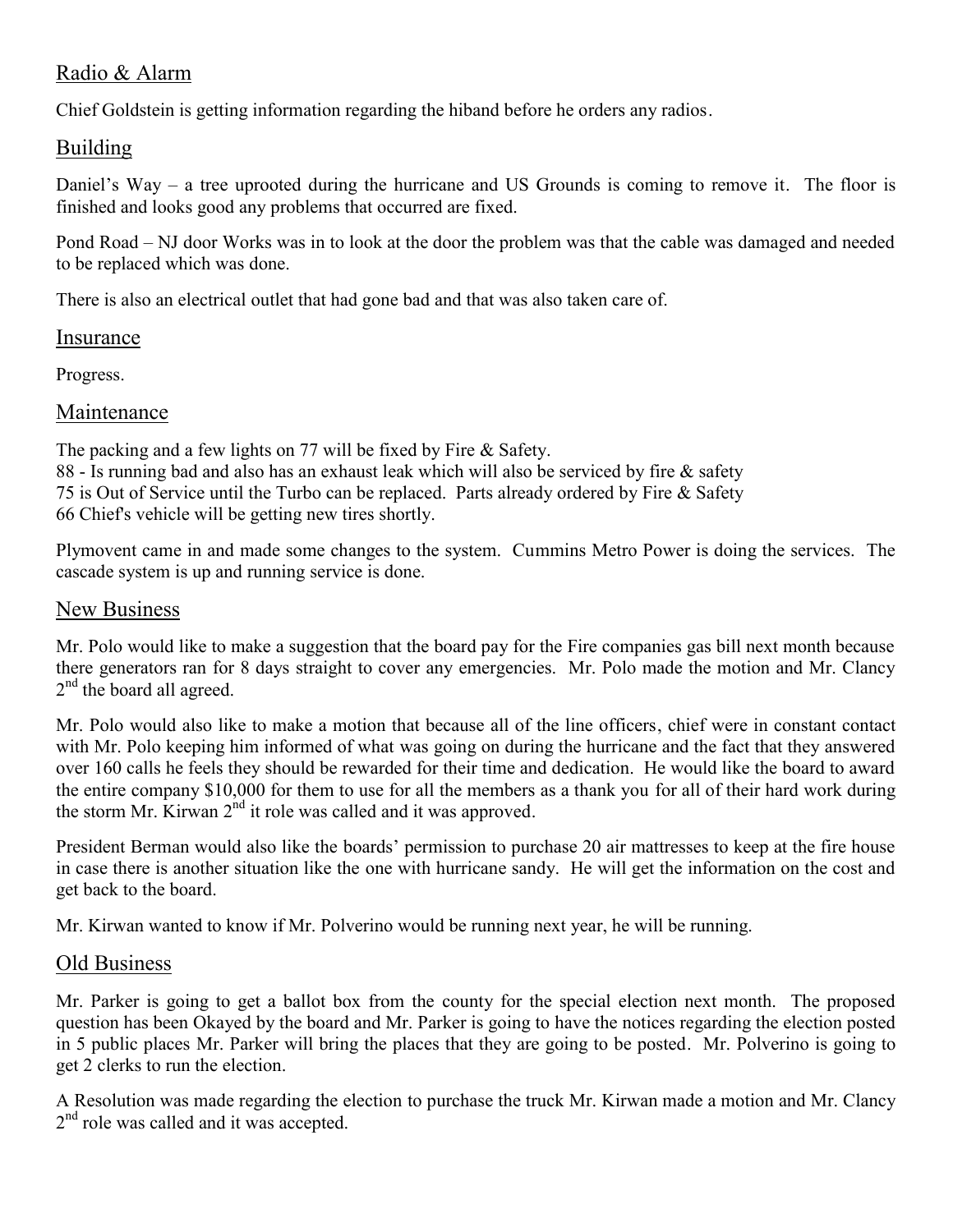# Radio & Alarm

Chief Goldstein is getting information regarding the hiband before he orders any radios.

## Building

Daniel's Way – a tree uprooted during the hurricane and US Grounds is coming to remove it. The floor is finished and looks good any problems that occurred are fixed.

Pond Road – NJ door Works was in to look at the door the problem was that the cable was damaged and needed to be replaced which was done.

There is also an electrical outlet that had gone bad and that was also taken care of.

#### Insurance

Progress.

## Maintenance

The packing and a few lights on 77 will be fixed by Fire & Safety. 88 - Is running bad and also has an exhaust leak which will also be serviced by fire & safety 75 is Out of Service until the Turbo can be replaced. Parts already ordered by Fire & Safety 66 Chief's vehicle will be getting new tires shortly.

Plymovent came in and made some changes to the system. Cummins Metro Power is doing the services. The cascade system is up and running service is done.

## New Business

Mr. Polo would like to make a suggestion that the board pay for the Fire companies gas bill next month because there generators ran for 8 days straight to cover any emergencies. Mr. Polo made the motion and Mr. Clancy 2<sup>nd</sup> the board all agreed.

Mr. Polo would also like to make a motion that because all of the line officers, chief were in constant contact with Mr. Polo keeping him informed of what was going on during the hurricane and the fact that they answered over 160 calls he feels they should be rewarded for their time and dedication. He would like the board to award the entire company \$10,000 for them to use for all the members as a thank you for all of their hard work during the storm Mr. Kirwan 2<sup>nd</sup> it role was called and it was approved.

President Berman would also like the boards' permission to purchase 20 air mattresses to keep at the fire house in case there is another situation like the one with hurricane sandy. He will get the information on the cost and get back to the board.

Mr. Kirwan wanted to know if Mr. Polverino would be running next year, he will be running.

#### Old Business

Mr. Parker is going to get a ballot box from the county for the special election next month. The proposed question has been Okayed by the board and Mr. Parker is going to have the notices regarding the election posted in 5 public places Mr. Parker will bring the places that they are going to be posted. Mr. Polverino is going to get 2 clerks to run the election.

A Resolution was made regarding the election to purchase the truck Mr. Kirwan made a motion and Mr. Clancy 2<sup>nd</sup> role was called and it was accepted.